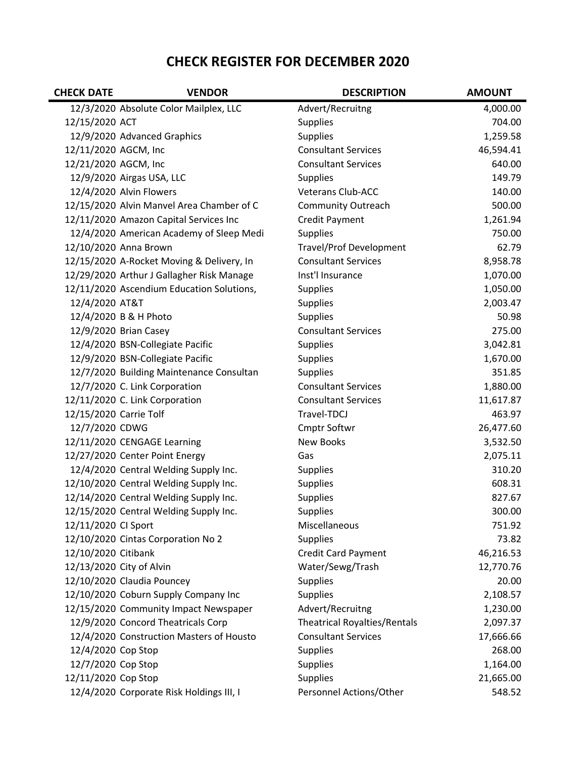## CHECK REGISTER FOR DECEMBER 2020

| <b>CHECK DATE</b>      | <b>VENDOR</b>                             | <b>DESCRIPTION</b>                  | <b>AMOUNT</b> |
|------------------------|-------------------------------------------|-------------------------------------|---------------|
|                        | 12/3/2020 Absolute Color Mailplex, LLC    | Advert/Recruitng                    | 4,000.00      |
| 12/15/2020 ACT         |                                           | <b>Supplies</b>                     | 704.00        |
|                        | 12/9/2020 Advanced Graphics               | <b>Supplies</b>                     | 1,259.58      |
| 12/11/2020 AGCM, Inc   |                                           | <b>Consultant Services</b>          | 46,594.41     |
| 12/21/2020 AGCM, Inc   |                                           | <b>Consultant Services</b>          | 640.00        |
|                        | 12/9/2020 Airgas USA, LLC                 | <b>Supplies</b>                     | 149.79        |
|                        | 12/4/2020 Alvin Flowers                   | <b>Veterans Club-ACC</b>            | 140.00        |
|                        | 12/15/2020 Alvin Manvel Area Chamber of C | <b>Community Outreach</b>           | 500.00        |
|                        | 12/11/2020 Amazon Capital Services Inc    | <b>Credit Payment</b>               | 1,261.94      |
|                        | 12/4/2020 American Academy of Sleep Medi  | <b>Supplies</b>                     | 750.00        |
|                        | 12/10/2020 Anna Brown                     | <b>Travel/Prof Development</b>      | 62.79         |
|                        | 12/15/2020 A-Rocket Moving & Delivery, In | <b>Consultant Services</b>          | 8,958.78      |
|                        | 12/29/2020 Arthur J Gallagher Risk Manage | Inst'l Insurance                    | 1,070.00      |
|                        | 12/11/2020 Ascendium Education Solutions, | Supplies                            | 1,050.00      |
| 12/4/2020 AT&T         |                                           | <b>Supplies</b>                     | 2,003.47      |
|                        | 12/4/2020 B & H Photo                     | <b>Supplies</b>                     | 50.98         |
|                        | 12/9/2020 Brian Casey                     | <b>Consultant Services</b>          | 275.00        |
|                        | 12/4/2020 BSN-Collegiate Pacific          | Supplies                            | 3,042.81      |
|                        | 12/9/2020 BSN-Collegiate Pacific          | <b>Supplies</b>                     | 1,670.00      |
|                        | 12/7/2020 Building Maintenance Consultan  | <b>Supplies</b>                     | 351.85        |
|                        | 12/7/2020 C. Link Corporation             | <b>Consultant Services</b>          | 1,880.00      |
|                        | 12/11/2020 C. Link Corporation            | <b>Consultant Services</b>          | 11,617.87     |
| 12/15/2020 Carrie Tolf |                                           | Travel-TDCJ                         | 463.97        |
| 12/7/2020 CDWG         |                                           | Cmptr Softwr                        | 26,477.60     |
|                        | 12/11/2020 CENGAGE Learning               | <b>New Books</b>                    | 3,532.50      |
|                        | 12/27/2020 Center Point Energy            | Gas                                 | 2,075.11      |
|                        | 12/4/2020 Central Welding Supply Inc.     | <b>Supplies</b>                     | 310.20        |
|                        | 12/10/2020 Central Welding Supply Inc.    | Supplies                            | 608.31        |
|                        | 12/14/2020 Central Welding Supply Inc.    | <b>Supplies</b>                     | 827.67        |
|                        | 12/15/2020 Central Welding Supply Inc.    | <b>Supplies</b>                     | 300.00        |
| 12/11/2020 Cl Sport    |                                           | Miscellaneous                       | 751.92        |
|                        | 12/10/2020 Cintas Corporation No 2        | <b>Supplies</b>                     | 73.82         |
| 12/10/2020 Citibank    |                                           | <b>Credit Card Payment</b>          | 46,216.53     |
|                        | 12/13/2020 City of Alvin                  | Water/Sewg/Trash                    | 12,770.76     |
|                        | 12/10/2020 Claudia Pouncey                | <b>Supplies</b>                     | 20.00         |
|                        | 12/10/2020 Coburn Supply Company Inc      | Supplies                            | 2,108.57      |
|                        | 12/15/2020 Community Impact Newspaper     | Advert/Recruitng                    | 1,230.00      |
|                        | 12/9/2020 Concord Theatricals Corp        | <b>Theatrical Royalties/Rentals</b> | 2,097.37      |
|                        | 12/4/2020 Construction Masters of Housto  | <b>Consultant Services</b>          | 17,666.66     |
| 12/4/2020 Cop Stop     |                                           | <b>Supplies</b>                     | 268.00        |
| 12/7/2020 Cop Stop     |                                           | Supplies                            | 1,164.00      |
| 12/11/2020 Cop Stop    |                                           | <b>Supplies</b>                     | 21,665.00     |
|                        | 12/4/2020 Corporate Risk Holdings III, I  | Personnel Actions/Other             | 548.52        |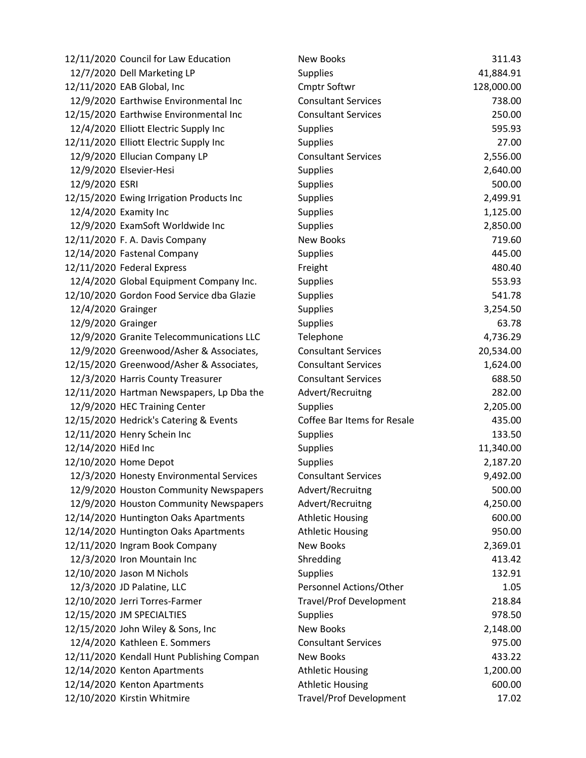|                     | 12/11/2020 Council for Law Education      | New Books                      | 311.43     |
|---------------------|-------------------------------------------|--------------------------------|------------|
|                     | 12/7/2020 Dell Marketing LP               | <b>Supplies</b>                | 41,884.91  |
|                     | 12/11/2020 EAB Global, Inc                | Cmptr Softwr                   | 128,000.00 |
|                     | 12/9/2020 Earthwise Environmental Inc     | <b>Consultant Services</b>     | 738.00     |
|                     | 12/15/2020 Earthwise Environmental Inc    | <b>Consultant Services</b>     | 250.00     |
|                     | 12/4/2020 Elliott Electric Supply Inc     | <b>Supplies</b>                | 595.93     |
|                     | 12/11/2020 Elliott Electric Supply Inc    | <b>Supplies</b>                | 27.00      |
|                     | 12/9/2020 Ellucian Company LP             | <b>Consultant Services</b>     | 2,556.00   |
|                     | 12/9/2020 Elsevier-Hesi                   | <b>Supplies</b>                | 2,640.00   |
| 12/9/2020 ESRI      |                                           | <b>Supplies</b>                | 500.00     |
|                     | 12/15/2020 Ewing Irrigation Products Inc  | <b>Supplies</b>                | 2,499.91   |
|                     | 12/4/2020 Examity Inc                     | Supplies                       | 1,125.00   |
|                     | 12/9/2020 ExamSoft Worldwide Inc          | <b>Supplies</b>                | 2,850.00   |
|                     | 12/11/2020 F. A. Davis Company            | <b>New Books</b>               | 719.60     |
|                     | 12/14/2020 Fastenal Company               | <b>Supplies</b>                | 445.00     |
|                     | 12/11/2020 Federal Express                | Freight                        | 480.40     |
|                     | 12/4/2020 Global Equipment Company Inc.   | <b>Supplies</b>                | 553.93     |
|                     | 12/10/2020 Gordon Food Service dba Glazie | <b>Supplies</b>                | 541.78     |
| 12/4/2020 Grainger  |                                           | <b>Supplies</b>                | 3,254.50   |
| 12/9/2020 Grainger  |                                           | <b>Supplies</b>                | 63.78      |
|                     | 12/9/2020 Granite Telecommunications LLC  | Telephone                      | 4,736.29   |
|                     | 12/9/2020 Greenwood/Asher & Associates,   | <b>Consultant Services</b>     | 20,534.00  |
|                     | 12/15/2020 Greenwood/Asher & Associates,  | <b>Consultant Services</b>     | 1,624.00   |
|                     | 12/3/2020 Harris County Treasurer         | <b>Consultant Services</b>     | 688.50     |
|                     | 12/11/2020 Hartman Newspapers, Lp Dba the | Advert/Recruitng               | 282.00     |
|                     | 12/9/2020 HEC Training Center             | <b>Supplies</b>                | 2,205.00   |
|                     | 12/15/2020 Hedrick's Catering & Events    | Coffee Bar Items for Resale    | 435.00     |
|                     | 12/11/2020 Henry Schein Inc               | <b>Supplies</b>                | 133.50     |
| 12/14/2020 HiEd Inc |                                           | <b>Supplies</b>                | 11,340.00  |
|                     | 12/10/2020 Home Depot                     | <b>Supplies</b>                | 2,187.20   |
|                     | 12/3/2020 Honesty Environmental Services  | <b>Consultant Services</b>     | 9,492.00   |
|                     | 12/9/2020 Houston Community Newspapers    | Advert/Recruitng               | 500.00     |
|                     | 12/9/2020 Houston Community Newspapers    | Advert/Recruitng               | 4,250.00   |
|                     | 12/14/2020 Huntington Oaks Apartments     | <b>Athletic Housing</b>        | 600.00     |
|                     | 12/14/2020 Huntington Oaks Apartments     | <b>Athletic Housing</b>        | 950.00     |
|                     | 12/11/2020 Ingram Book Company            | <b>New Books</b>               | 2,369.01   |
|                     | 12/3/2020 Iron Mountain Inc               | Shredding                      | 413.42     |
|                     | 12/10/2020 Jason M Nichols                | <b>Supplies</b>                | 132.91     |
|                     | 12/3/2020 JD Palatine, LLC                | Personnel Actions/Other        | 1.05       |
|                     | 12/10/2020 Jerri Torres-Farmer            | <b>Travel/Prof Development</b> | 218.84     |
|                     | 12/15/2020 JM SPECIALTIES                 | <b>Supplies</b>                | 978.50     |
|                     | 12/15/2020 John Wiley & Sons, Inc         | <b>New Books</b>               | 2,148.00   |
|                     | 12/4/2020 Kathleen E. Sommers             | <b>Consultant Services</b>     | 975.00     |
|                     | 12/11/2020 Kendall Hunt Publishing Compan | New Books                      | 433.22     |
|                     | 12/14/2020 Kenton Apartments              | <b>Athletic Housing</b>        | 1,200.00   |
|                     | 12/14/2020 Kenton Apartments              | <b>Athletic Housing</b>        | 600.00     |
|                     | 12/10/2020 Kirstin Whitmire               | <b>Travel/Prof Development</b> | 17.02      |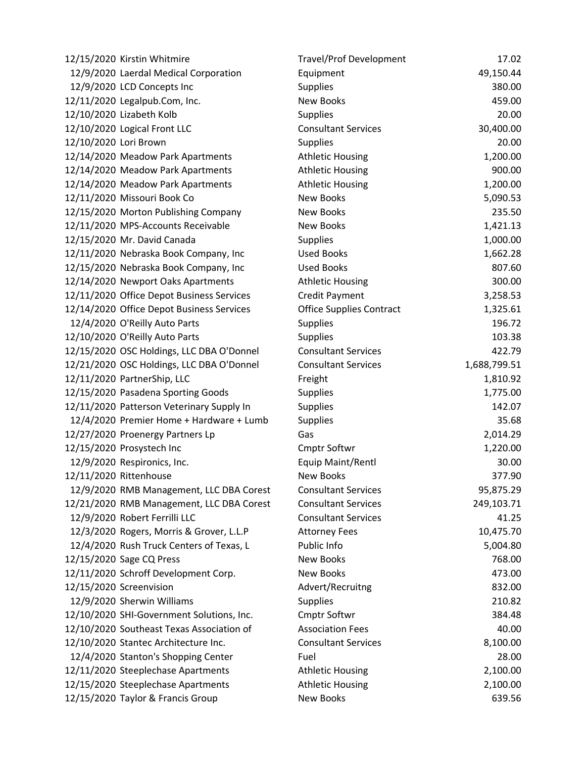|                       | 12/15/2020 Kirstin Whitmire               | <b>Travel/Prof Development</b>  | 17.02        |
|-----------------------|-------------------------------------------|---------------------------------|--------------|
|                       | 12/9/2020 Laerdal Medical Corporation     | Equipment                       | 49,150.44    |
|                       | 12/9/2020 LCD Concepts Inc                | <b>Supplies</b>                 | 380.00       |
|                       | 12/11/2020 Legalpub.Com, Inc.             | <b>New Books</b>                | 459.00       |
|                       | 12/10/2020 Lizabeth Kolb                  | <b>Supplies</b>                 | 20.00        |
|                       | 12/10/2020 Logical Front LLC              | <b>Consultant Services</b>      | 30,400.00    |
| 12/10/2020 Lori Brown |                                           | <b>Supplies</b>                 | 20.00        |
|                       | 12/14/2020 Meadow Park Apartments         | <b>Athletic Housing</b>         | 1,200.00     |
|                       | 12/14/2020 Meadow Park Apartments         | <b>Athletic Housing</b>         | 900.00       |
|                       | 12/14/2020 Meadow Park Apartments         | <b>Athletic Housing</b>         | 1,200.00     |
|                       | 12/11/2020 Missouri Book Co               | <b>New Books</b>                | 5,090.53     |
|                       | 12/15/2020 Morton Publishing Company      | New Books                       | 235.50       |
|                       | 12/11/2020 MPS-Accounts Receivable        | <b>New Books</b>                | 1,421.13     |
|                       | 12/15/2020 Mr. David Canada               | <b>Supplies</b>                 | 1,000.00     |
|                       | 12/11/2020 Nebraska Book Company, Inc     | <b>Used Books</b>               | 1,662.28     |
|                       | 12/15/2020 Nebraska Book Company, Inc     | <b>Used Books</b>               | 807.60       |
|                       | 12/14/2020 Newport Oaks Apartments        | <b>Athletic Housing</b>         | 300.00       |
|                       | 12/11/2020 Office Depot Business Services | <b>Credit Payment</b>           | 3,258.53     |
|                       | 12/14/2020 Office Depot Business Services | <b>Office Supplies Contract</b> | 1,325.61     |
|                       | 12/4/2020 O'Reilly Auto Parts             | <b>Supplies</b>                 | 196.72       |
|                       | 12/10/2020 O'Reilly Auto Parts            | <b>Supplies</b>                 | 103.38       |
|                       | 12/15/2020 OSC Holdings, LLC DBA O'Donnel | <b>Consultant Services</b>      | 422.79       |
|                       | 12/21/2020 OSC Holdings, LLC DBA O'Donnel | <b>Consultant Services</b>      | 1,688,799.51 |
|                       | 12/11/2020 PartnerShip, LLC               | Freight                         | 1,810.92     |
|                       | 12/15/2020 Pasadena Sporting Goods        | <b>Supplies</b>                 | 1,775.00     |
|                       | 12/11/2020 Patterson Veterinary Supply In | <b>Supplies</b>                 | 142.07       |
|                       | 12/4/2020 Premier Home + Hardware + Lumb  | <b>Supplies</b>                 | 35.68        |
|                       | 12/27/2020 Proenergy Partners Lp          | Gas                             | 2,014.29     |
|                       | 12/15/2020 Prosystech Inc                 | <b>Cmptr Softwr</b>             | 1,220.00     |
|                       | 12/9/2020 Respironics, Inc.               | <b>Equip Maint/Rentl</b>        | 30.00        |
|                       | 12/11/2020 Rittenhouse                    | <b>New Books</b>                | 377.90       |
|                       | 12/9/2020 RMB Management, LLC DBA Corest  | <b>Consultant Services</b>      | 95,875.29    |
|                       | 12/21/2020 RMB Management, LLC DBA Corest | <b>Consultant Services</b>      | 249,103.71   |
|                       | 12/9/2020 Robert Ferrilli LLC             | <b>Consultant Services</b>      | 41.25        |
|                       | 12/3/2020 Rogers, Morris & Grover, L.L.P  | <b>Attorney Fees</b>            | 10,475.70    |
|                       | 12/4/2020 Rush Truck Centers of Texas, L  | Public Info                     | 5,004.80     |
|                       | 12/15/2020 Sage CQ Press                  | <b>New Books</b>                | 768.00       |
|                       | 12/11/2020 Schroff Development Corp.      | <b>New Books</b>                | 473.00       |
|                       | 12/15/2020 Screenvision                   | Advert/Recruitng                | 832.00       |
|                       | 12/9/2020 Sherwin Williams                | <b>Supplies</b>                 | 210.82       |
|                       | 12/10/2020 SHI-Government Solutions, Inc. | <b>Cmptr Softwr</b>             | 384.48       |
|                       | 12/10/2020 Southeast Texas Association of | <b>Association Fees</b>         | 40.00        |
|                       | 12/10/2020 Stantec Architecture Inc.      | <b>Consultant Services</b>      | 8,100.00     |
|                       | 12/4/2020 Stanton's Shopping Center       | Fuel                            | 28.00        |
|                       | 12/11/2020 Steeplechase Apartments        | <b>Athletic Housing</b>         | 2,100.00     |
|                       | 12/15/2020 Steeplechase Apartments        | <b>Athletic Housing</b>         | 2,100.00     |
|                       | 12/15/2020 Taylor & Francis Group         | New Books                       | 639.56       |